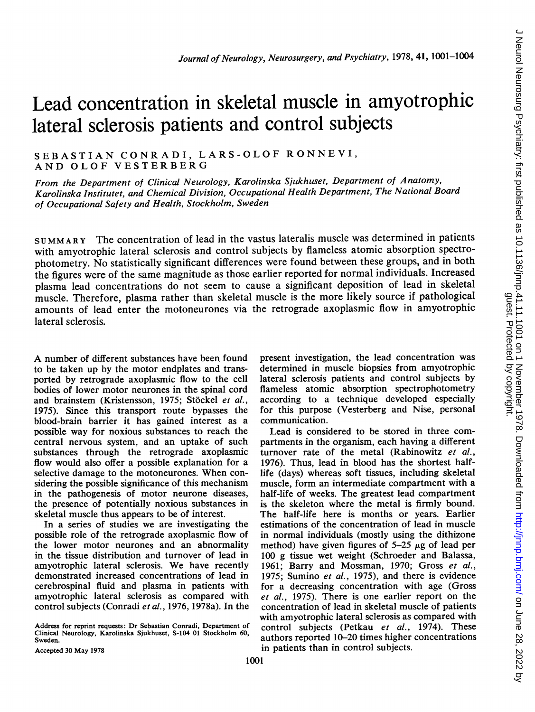# Lead concentration in skeletal muscle in amyotrophic lateral sclerosis patients and control subjects

SEBASTIAN CONRADI, LARS-OLOF RONNEVI, AND OLOF VESTERBERG

From the Department of Clinical Neurology, Karolinska Sjukhuset, Department of Anatomy, Karolinska Institutet, and Chemical Division, Occupational Health Department, The National Board of Occupational Safety and Health, Stockholm, Sweden

SUMMARY The concentration of lead in the vastus lateralis muscle was determined in patients with amyotrophic lateral sclerosis and control subjects by flameless atomic absorption spectrophotometry. No statistically significant differences were found between these groups, and in both the figures were of the same magnitude as those earlier reported for normal individuals. Increased plasma lead concentrations do not seem to cause a significant deposition of lead in skeletal muscle. Therefore, plasma rather than skeletal muscle is the more likely source if pathological amounts of lead enter the motoneurones via the retrograde axoplasmic flow in amyotrophic lateral sclerosis.

A number of different substances have been found to be taken up by the motor endplates and transported by retrograde axoplasmic flow to the cell bodies of lower motor neurones in the spinal cord and brainstem (Kristensson, 1975; Stöckel et al., 1975). Since this transport route bypasses the blood-brain barrier it has gained interest as a possible way for noxious substances to reach the central nervous system, and an uptake of such substances through the retrograde axoplasmic flow would also offer a possible explanation for a selective damage to the motoneurones. When considering the possible significance of this mechanism in the pathogenesis of motor neurone diseases, the presence of potentially noxious substances in skeletal muscle thus appears to be of interest.

In a series of studies we are investigating the possible role of the retrograde axoplasmic flow of the lower motor neurones and an abnormality in the tissue distribution and turnover of lead in amyotrophic lateral sclerosis. We have recently demonstrated increased concentrations of lead in cerebrospinal fluid and plasma in patients with amyotrophic lateral sclerosis as compared with control subjects (Conradi et al., 1976, 1978a). In the

Address for reprint requests: Dr Sebastian Conradi, Department of Clinical Neurology, Karolinska Sjukhuset, S-104 01 Stockholm 60, Sweden.

present investigation, the lead concentration was determined in muscle biopsies from amyotrophic lateral sclerosis patients and control subjects by flameless atomic absorption spectrophotometry according to a technique developed especially for this purpose (Vesterberg and Nise, personal communication.

Lead is considered to be stored in three compartments in the organism, each having a different turnover rate of the metal (Rabinowitz et al., 1976). Thus, lead in blood has the shortest halflife (days) whereas soft tissues, including skeletal muscle, form an intermediate compartment with a half-life of weeks. The greatest lead compartment is the skeleton where the metal is firmly bound. The half-life here is months or years. Earlier estimations of the concentration of lead in muscle in normal individuals (mostly using the dithizone method) have given figures of  $5-25 \mu$ g of lead per 100 g tissue wet weight (Schroeder and Balassa, 1961; Barry and Mossman, 1970; Gross et al., 1975; Sumino et al., 1975), and there is evidence for a decreasing concentration with age (Gross et al., 1975). There is one earlier report on the concentration of lead in skeletal muscle of patients with amyotrophic lateral sclerosis as compared with control subjects (Petkau et al., 1974). These authors reported 10-20 times higher concentrations in patients than in control subjects.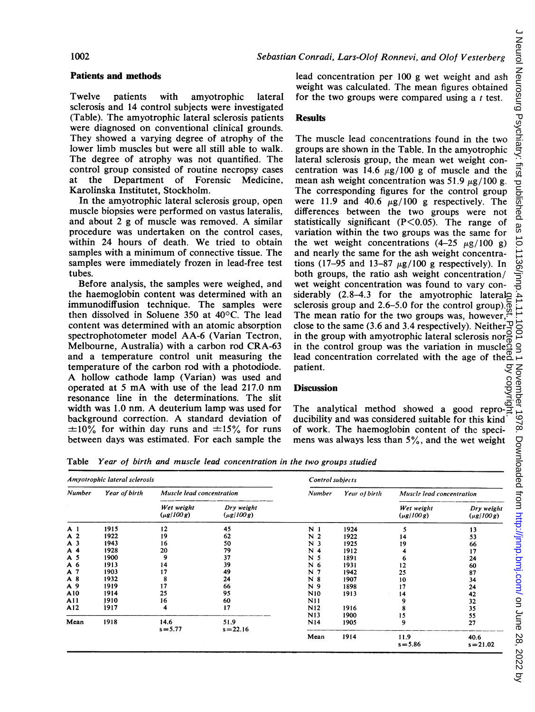## Sebastian Conradi, Lars-Olof Ronnevi, and Olof Vesterberg

### Patients and methods

Twelve patients with amyotrophic lateral sclerosis and 14 control subjects were investigated (Table). The amyotrophic lateral sclerosis patients were diagnosed on conventional clinical grounds. They showed a varying degree of atrophy of the lower limb muscles but were all still able to walk. The degree of atrophy was not quantified. The control group consisted of routine necropsy cases at the Department of Forensic Medicine, Karolinska Institutet, Stockholm.

In the amyotrophic lateral sclerosis group, open muscle biopsies were performed on vastus lateralis, and about <sup>2</sup> <sup>g</sup> of muscle was removed. A similar procedure was undertaken on the control cases, within 24 hours of death. We tried to obtain samples with a minimum of connective tissue. The samples were immediately frozen in lead-free test tubes.

Before analysis, the samples were weighed, and the haemoglobin content was determined with an immunodiffusion technique. The samples were then dissolved in Soluene  $350$  at  $40^{\circ}$ C. The lead content was determined with an atomic absorption spectrophotometer model AA-6 (Varian Tectron, Melbourne, Australia) with a carbon rod CRA-63 and a temperature control unit measuring the temperature of the carbon rod with a photodiode. A hollow cathode lamp (Varian) was used and operated at <sup>5</sup> mA with use of the lead 217.0 nm resonance line in the determinations. The slit width was 1.0 nm. A deuterium lamp was used for background correction. A standard deviation of  $\pm 10\%$  for within day runs and  $\pm 15\%$  for runs between days was estimated. For each sample the

lead concentration per 100 g wet weight and ash weight was calculated. The mean figures obtained for the two groups were compared using a  $t$  test.

#### Results

The muscle lead concentrations found in the two groups are shown in the Table. In the amyotrophic lateral sclerosis group, the mean wet weight concentration was 14.6  $\mu$ g/100 g of muscle and the mean ash weight concentration was 51.9  $\mu$ g/100 g. The corresponding figures for the control group were 11.9 and 40.6  $\mu$ g/100 g respectively. The differences between the two groups were not statistically significant  $(P<0.05)$ . The range of variation within the two groups was the same for the wet weight concentrations  $(4-25 \mu g/100 g)$ and nearly the same for the ash weight concentrations (17–95 and 13–87  $\mu$ g/100 g respectively). In both groups, the ratio ash weight concentration/ wet weight concentration was found to vary considerably  $(2.8-4.3)$  for the amyotrophic lateralo sclerosis group and 2.6–5.0 for the control group). $\overline{\phi}$ The mean ratio for the two groups was, however, $\ddot{\cdot}$ close to the same (3.6 and 3.4 respectively). Neither  $\overline{\mathcal{L}}$ in the group with amyotrophic lateral sclerosis nor $\vec{P}$ in the group was the variation in muscle  $\Omega$ lead concentration correlated with the age of the  ${}_{\alpha}^{\text{o}}$ patient. guest. Protected by copyright.

# **Discussion**

patient.<br> **Discussion**<br>
The analytical method showed a good reproducibility and was considered suitable for this kind of work. The haemoglobin content of the specimens was always less than  $5\%$ , and the wet weight

Table Year of birth and muscle lead concentration in the two groups studied

| Amyotrophic lateral sclerosis |               |                                 |                                 | Control subjects             |               |                                 |                                 |
|-------------------------------|---------------|---------------------------------|---------------------------------|------------------------------|---------------|---------------------------------|---------------------------------|
| <b>Number</b>                 | Year of birth | Muscle lead concentration       |                                 | <b>Number</b>                | Year of birth | Muscle lead concentration       |                                 |
|                               |               | Wet weight<br>$(\mu g / 100 g)$ | Dry weight<br>$(\mu g / 100 g)$ |                              |               | Wet weight<br>$(\mu g / 100 g)$ | Dry weight<br>$(\mu g / 100 g)$ |
| A <sub>1</sub>                | 1915          | 12                              | 45                              | N <sub>1</sub>               | 1924          | 5                               | 13                              |
| A 2                           | 1922          | 19                              | 62                              | $\overline{\mathbf{c}}$<br>N | 1922          | 14                              | 53                              |
| A <sub>3</sub>                | 1943          | 16                              | 50                              | N 3                          | 1925          | 19                              | 66                              |
| A 4                           | 1928          | 20                              | 79                              | N<br>4                       | 1912          |                                 | 17                              |
| A 5                           | 1900          | 9                               | 37                              | N<br>-5                      | 1891          |                                 | 24                              |
| A 6                           | 1913          | 14                              | 39                              | N 6                          | 1931          | 12                              | 60                              |
| A 7                           | 1903          | 17                              | 49                              | N<br>7                       | 1942          | 25                              | 87                              |
| A8                            | 1932          | 8                               | 24                              | N<br>8                       | 1907          | 10                              | 34                              |
| A 9                           | 1919          | 17                              | 66                              | N 9                          | 1898          | 17                              | 24                              |
| A10                           | 1914          | 25                              | 95                              | N <sub>10</sub>              | 1913          | 14                              | 42                              |
| A11                           | 1910          | 16                              | 60                              | N11                          |               | 9                               | 32                              |
| A12                           | 1917          | 4                               | 17                              | N12                          | 1916          | 8                               | 35                              |
|                               |               |                                 |                                 | N13                          | 1900          | 15                              | 55                              |
| Mean                          | 1918          | 14.6<br>$s = 5.77$              | 51.9<br>$s = 22.16$             | N <sub>14</sub>              | 1905          | 9                               | 27                              |
|                               |               |                                 |                                 | Mean                         | 1914          | 11.9<br>$s = 5.86$              | 40.6<br>$s = 21.02$             |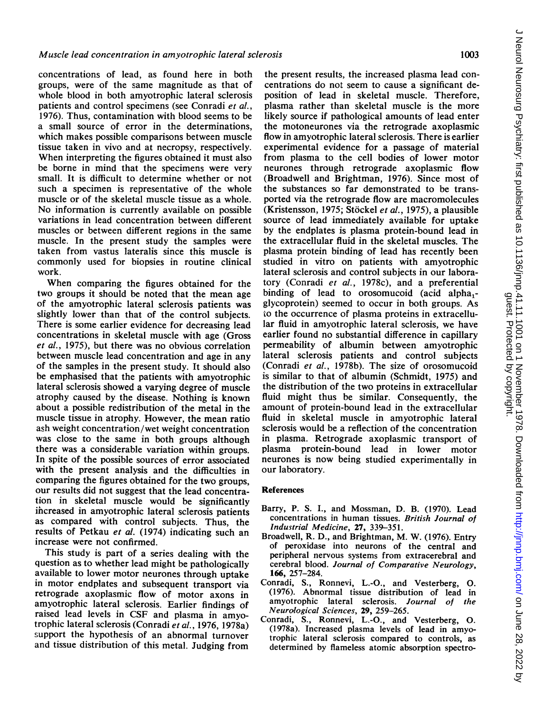concentrations of lead, as found here in both groups, were of the same magnitude as that of whole blood in both amyotrophic lateral sclerosis patients and control specimens (see Conradi et al., 1976). Thus, contamination with blood seems to be a small source of error in the determinations, which makes possible comparisons between muscle tissue taken in vivo and at necropsy, respectively. When interpreting the figures obtained it must also be borne in mind that the specimens were very small. It is difficult to determine whether or not such a specimen is representative of the whole muscle or of the skeletal muscle tissue as a whole. No information is currently available on possible variations in lead concentration between different muscles or between different regions in the same muscle. In the present study the samples were taken from vastus lateralis since this muscle is commonly used for biopsies in routine clinical work.

When comparing the figures obtained for the two groups it should be noted that the mean age of the amyotrophic lateral sclerosis patients was slightly lower than that of the control subjects. There is some earlier evidence for decreasing lead concentrations in skeletal muscle with age (Gross et al., 1975), but there was no obvious correlation between muscle lead concentration and age in any of the samples in the present study. It should also be emphasised that the patients with amyotrophic lateral sclerosis showed a varying degree of muscle atrophy caused by the disease. Nothing is known about a possible redistribution of the metal in the muscle tissue in atrophy. However, the mean ratio ash weight concentration/wet weight concentration was close to the same in both groups although there was a considerable variation within groups. In spite of the possible sources of error associated with the present analysis and the difficulties in comparing the figures obtained for the two groups, our results did not suggest that the lead concentration in skeletal muscle would be significantly ihcreased in amyotrophic lateral sclerosis patients as compared with control subjects. Thus, the results of Petkau et al. (1974) indicating such an increase were not confirmed.

This study is part of a series dealing with the question as to whether lead might be pathologically available to lower motor neurones through uptake in motor endplates and subsequent transport via retrograde axoplasmic flow of motor axons in amyotrophic lateral sclerosis. Earlier findings of raised lead levels in CSF and plasma in amyotrophic lateral sclerosis (Conradi et al., 1976, 1978a) support the hypothesis of an abnormal turnover and tissue distribution of this metal. Judging from

the present results, the increased plasma lead concentrations do not seem to cause a significant deposition of lead in skeletal muscle. Therefore, plasma rather than skeletal muscle is the more likely source if pathological amounts of lead enter the motoneurones via the retrograde axoplasmic flow in amyotrophic lateral sclerosis. There is earlier experimental evidence for a passage of material from plasma to the cell bodies of lower motor neurones through retrograde axoplasmic flow (Broadwell and Brightman, 1976). Since most of the substances so far demonstrated to be transported via the retrograde flow are macromolecules (Kristensson, 1975; Stöckel et al., 1975), a plausible source of lead immediately available for uptake by the endplates is plasma protein-bound lead in the extracellular fluid in the skeletal muscles. The plasma protein binding of lead has recently been studied in vitro on patients with amyotrophic lateral sclerosis and control subjects in our laboratory (Conradi et al., 1978c), and a preferential binding of lead to orosomucoid (acid alpha<sub>1</sub>glycoprotein) seemed to occur in both groups. As to the occurrence of plasma proteins in extracellular fluid in amyotrophic lateral sclerosis, we have earlier found no substantial difference in capillary permeability of albumin between amyotrophic lateral sclerosis patients and control subjects (Conradi et al., 1978b). The size of orosomucoid is similar to that of albumin (Schmidt, 1975) and the distribution of the two proteins in extracellular fluid might thus be similar. Consequently, the amount of protein-bound lead in the extracellular fluid in skeletal muscle in amyotrophic lateral sclerosis would be a reflection of the concentration in plasma. Retrograde axoplasmic transport of plasma protein-bound lead in lower motor neurones is now being studied experimentally in our laboratory.

# References

- Barry, P. S. I., and Mossman, D. B. (1970). Lead concentrations in human tissues. British Journal of Industrial Medicine, 27, 339-351.
- Broadwell, R. D., and Brightman, M. W. (1976). Entry of peroxidase into neurons of the central and peripheral nervous systems from extracerebral and cerebral blood. Journal of Comparative Neurology, 166, 257-284.
- Conradi, S., Ronnevi, L.-O., and Vesterberg, 0. (1976). Abnormal tissue distribution of lead in amyotrophic lateral sclerosis. Journal of the Neurological Sciences, 29, 259-265.
- Conradi, S., Ronnevi, L.-O., and Vesterberg, 0. (1978a). Increased plasma levels of lead in amyotrophic lateral sclerosis compared to controls, as determined by flameless atomic absorption spectro-